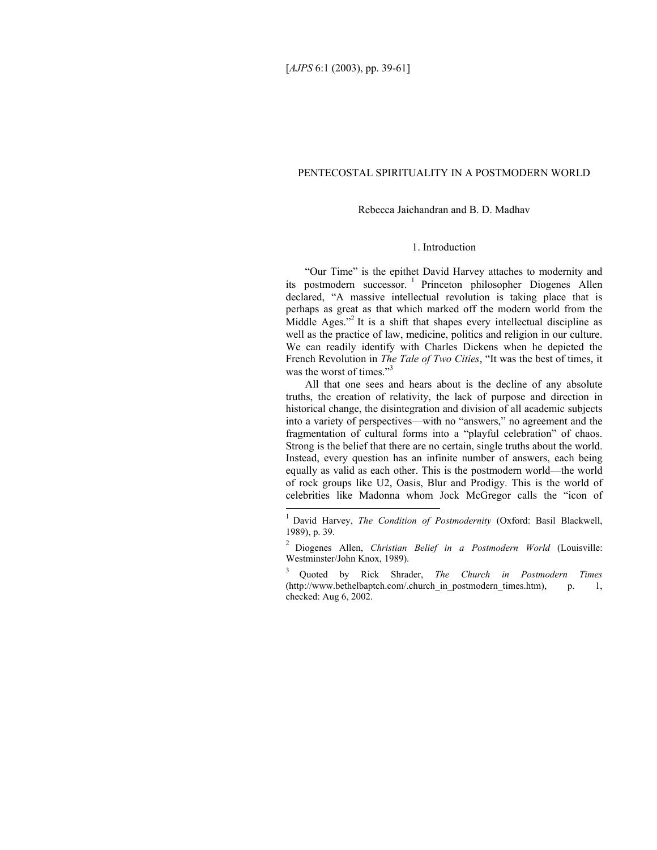l

### PENTECOSTAL SPIRITUALITY IN A POSTMODERN WORLD

#### Rebecca Jaichandran and B. D. Madhav

# 1. Introduction

"Our Time" is the epithet David Harvey attaches to modernity and its postmodern successor. 1 Princeton philosopher Diogenes Allen declared, "A massive intellectual revolution is taking place that is perhaps as great as that which marked off the modern world from the Middle Ages."<sup>2</sup> It is a shift that shapes every intellectual discipline as well as the practice of law, medicine, politics and religion in our culture. We can readily identify with Charles Dickens when he depicted the French Revolution in *The Tale of Two Cities*, "It was the best of times, it was the worst of times."<sup>3</sup>

All that one sees and hears about is the decline of any absolute truths, the creation of relativity, the lack of purpose and direction in historical change, the disintegration and division of all academic subjects into a variety of perspectives—with no "answers," no agreement and the fragmentation of cultural forms into a "playful celebration" of chaos. Strong is the belief that there are no certain, single truths about the world. Instead, every question has an infinite number of answers, each being equally as valid as each other. This is the postmodern world—the world of rock groups like U2, Oasis, Blur and Prodigy. This is the world of celebrities like Madonna whom Jock McGregor calls the "icon of

<sup>&</sup>lt;sup>1</sup> David Harvey, *The Condition of Postmodernity* (Oxford: Basil Blackwell, 1989), p. 39.

<sup>2</sup> Diogenes Allen, *Christian Belief in a Postmodern World* (Louisville: Westminster/John Knox, 1989).

<sup>3</sup> Quoted by Rick Shrader, *The Church in Postmodern Times* (http://www.bethelbaptch.com/.church\_in\_postmodern\_times.htm), p. 1, checked: Aug 6, 2002.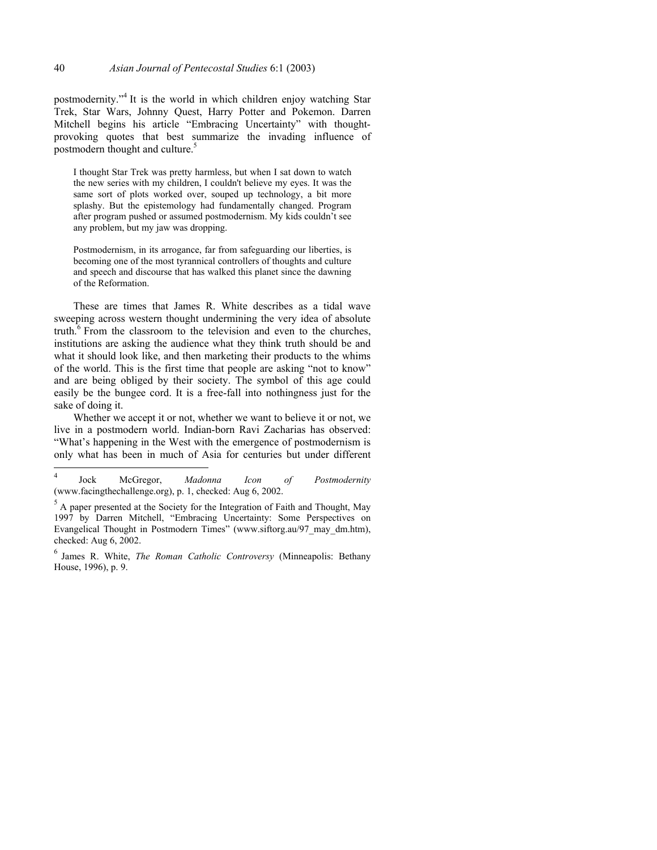postmodernity."<sup>4</sup> It is the world in which children enjoy watching Star Trek, Star Wars, Johnny Quest, Harry Potter and Pokemon. Darren Mitchell begins his article "Embracing Uncertainty" with thoughtprovoking quotes that best summarize the invading influence of postmodern thought and culture.<sup>5</sup>

I thought Star Trek was pretty harmless, but when I sat down to watch the new series with my children, I couldn't believe my eyes. It was the same sort of plots worked over, souped up technology, a bit more splashy. But the epistemology had fundamentally changed. Program after program pushed or assumed postmodernism. My kids couldn't see any problem, but my jaw was dropping.

Postmodernism, in its arrogance, far from safeguarding our liberties, is becoming one of the most tyrannical controllers of thoughts and culture and speech and discourse that has walked this planet since the dawning of the Reformation.

These are times that James R. White describes as a tidal wave sweeping across western thought undermining the very idea of absolute truth. $6$  From the classroom to the television and even to the churches, institutions are asking the audience what they think truth should be and what it should look like, and then marketing their products to the whims of the world. This is the first time that people are asking "not to know" and are being obliged by their society. The symbol of this age could easily be the bungee cord. It is a free-fall into nothingness just for the sake of doing it.

Whether we accept it or not, whether we want to believe it or not, we live in a postmodern world. Indian-born Ravi Zacharias has observed: "What's happening in the West with the emergence of postmodernism is only what has been in much of Asia for centuries but under different

 $\sqrt{4}$ 4 Jock McGregor, *Madonna Icon of Postmodernity* (www.facingthechallenge.org), p. 1, checked: Aug 6, 2002.

 $<sup>5</sup>$  A paper presented at the Society for the Integration of Faith and Thought, May</sup> 1997 by Darren Mitchell, "Embracing Uncertainty: Some Perspectives on Evangelical Thought in Postmodern Times" (www.siftorg.au/97\_may\_dm.htm), checked: Aug 6, 2002.

<sup>6</sup> James R. White, *The Roman Catholic Controversy* (Minneapolis: Bethany House, 1996), p. 9.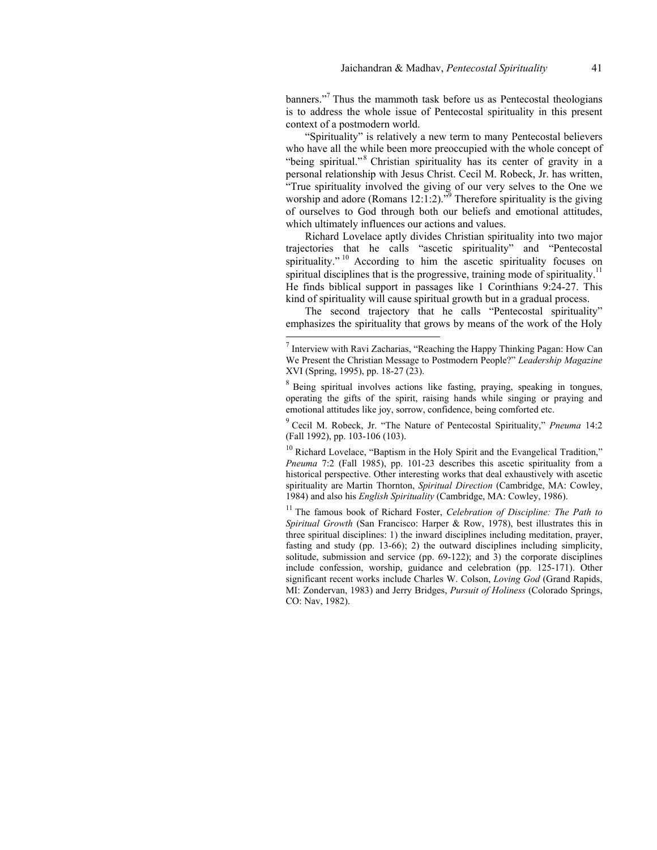banners."<sup>7</sup> Thus the mammoth task before us as Pentecostal theologians is to address the whole issue of Pentecostal spirituality in this present context of a postmodern world.

"Spirituality" is relatively a new term to many Pentecostal believers who have all the while been more preoccupied with the whole concept of "being spiritual."<sup>8</sup> Christian spirituality has its center of gravity in a personal relationship with Jesus Christ. Cecil M. Robeck, Jr. has written, "True spirituality involved the giving of our very selves to the One we worship and adore (Romans  $12:1:2$ ).<sup>79</sup> Therefore spirituality is the giving of ourselves to God through both our beliefs and emotional attitudes, which ultimately influences our actions and values.

Richard Lovelace aptly divides Christian spirituality into two major trajectories that he calls "ascetic spirituality" and "Pentecostal spirituality."<sup>10</sup> According to him the ascetic spirituality focuses on spiritual disciplines that is the progressive, training mode of spirituality.<sup>11</sup> He finds biblical support in passages like 1 Corinthians 9:24-27. This kind of spirituality will cause spiritual growth but in a gradual process.

The second trajectory that he calls "Pentecostal spirituality" emphasizes the spirituality that grows by means of the work of the Holy

l

9 Cecil M. Robeck, Jr. "The Nature of Pentecostal Spirituality," *Pneuma* 14:2 (Fall 1992), pp. 103-106 (103).

 $10$  Richard Lovelace, "Baptism in the Holy Spirit and the Evangelical Tradition," *Pneuma* 7:2 (Fall 1985), pp. 101-23 describes this ascetic spirituality from a historical perspective. Other interesting works that deal exhaustively with ascetic spirituality are Martin Thornton, *Spiritual Direction* (Cambridge, MA: Cowley, 1984) and also his *English Spirituality* (Cambridge, MA: Cowley, 1986).

<sup>11</sup> The famous book of Richard Foster, *Celebration of Discipline: The Path to Spiritual Growth* (San Francisco: Harper & Row, 1978), best illustrates this in three spiritual disciplines: 1) the inward disciplines including meditation, prayer, fasting and study (pp. 13-66); 2) the outward disciplines including simplicity, solitude, submission and service (pp. 69-122); and 3) the corporate disciplines include confession, worship, guidance and celebration (pp. 125-171). Other significant recent works include Charles W. Colson, *Loving God* (Grand Rapids, MI: Zondervan, 1983) and Jerry Bridges, *Pursuit of Holiness* (Colorado Springs, CO: Nav, 1982).

 $<sup>7</sup>$  Interview with Ravi Zacharias, "Reaching the Happy Thinking Pagan: How Can</sup> We Present the Christian Message to Postmodern People?" *Leadership Magazine* XVI (Spring, 1995), pp. 18-27 (23).

<sup>&</sup>lt;sup>8</sup> Being spiritual involves actions like fasting, praying, speaking in tongues, operating the gifts of the spirit, raising hands while singing or praying and emotional attitudes like joy, sorrow, confidence, being comforted etc.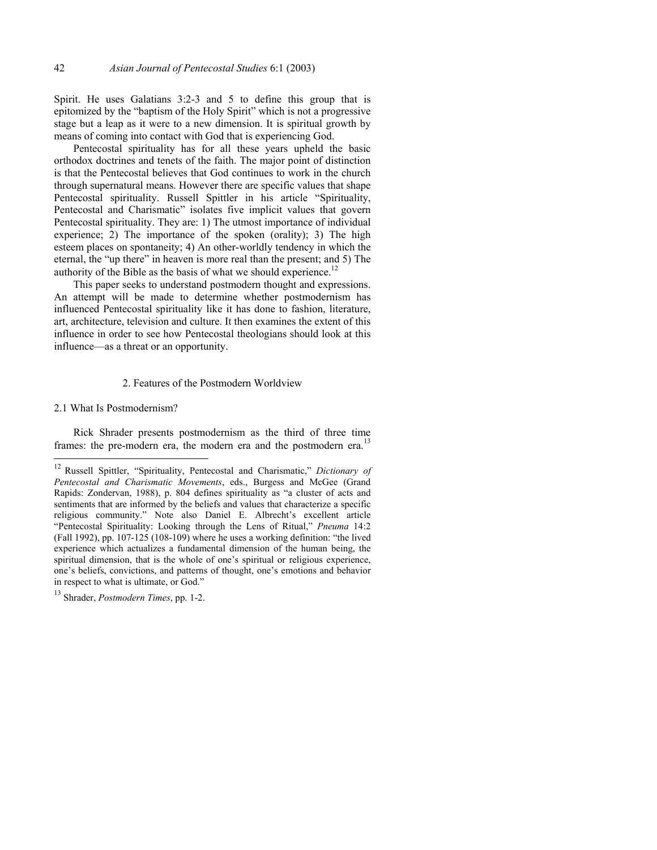Spirit. He uses Galatians 3:2-3 and 5 to define this group that is epitomized by the "baptism of the Holy Spirit" which is not a progressive stage but a leap as it were to a new dimension. It is spiritual growth by means of coming into contact with God that is experiencing God.

Pentecostal spirituality has for all these years upheld the basic orthodox doctrines and tenets of the faith. The major point of distinction is that the Pentecostal believes that God continues to work in the church through supernatural means. However there are specific values that shape Pentecostal spirituality. Russell Spittler in his article "Spirituality, Pentecostal and Charismatic" isolates five implicit values that govern Pentecostal spirituality. They are: 1) The utmost importance of individual experience; 2) The importance of the spoken (orality); 3) The high esteem places on spontaneity; 4) An other-worldly tendency in which the eternal, the "up there" in heaven is more real than the present; and 5) The authority of the Bible as the basis of what we should experience.<sup>12</sup>

This paper seeks to understand postmodern thought and expressions. An attempt will be made to determine whether postmodernism has influenced Pentecostal spirituality like it has done to fashion, literature, art, architecture, television and culture. It then examines the extent of this influence in order to see how Pentecostal theologians should look at this influence—as a threat or an opportunity.

### 2. Features of the Postmodern Worldview

2.1 What Is Postmodernism?

Rick Shrader presents postmodernism as the third of three time frames: the pre-modern era, the modern era and the postmodern era.<sup>13</sup>

 $12$ 12 Russell Spittler, "Spirituality, Pentecostal and Charismatic," *Dictionary of Pentecostal and Charismatic Movements*, eds., Burgess and McGee (Grand Rapids: Zondervan, 1988), p. 804 defines spirituality as "a cluster of acts and sentiments that are informed by the beliefs and values that characterize a specific religious community." Note also Daniel E. Albrecht's excellent article "Pentecostal Spirituality: Looking through the Lens of Ritual," *Pneuma* 14:2 (Fall 1992), pp. 107-125 (108-109) where he uses a working definition: "the lived experience which actualizes a fundamental dimension of the human being, the spiritual dimension, that is the whole of one's spiritual or religious experience, one's beliefs, convictions, and patterns of thought, one's emotions and behavior in respect to what is ultimate, or God."

<sup>13</sup> Shrader, *Postmodern Times*, pp. 1-2.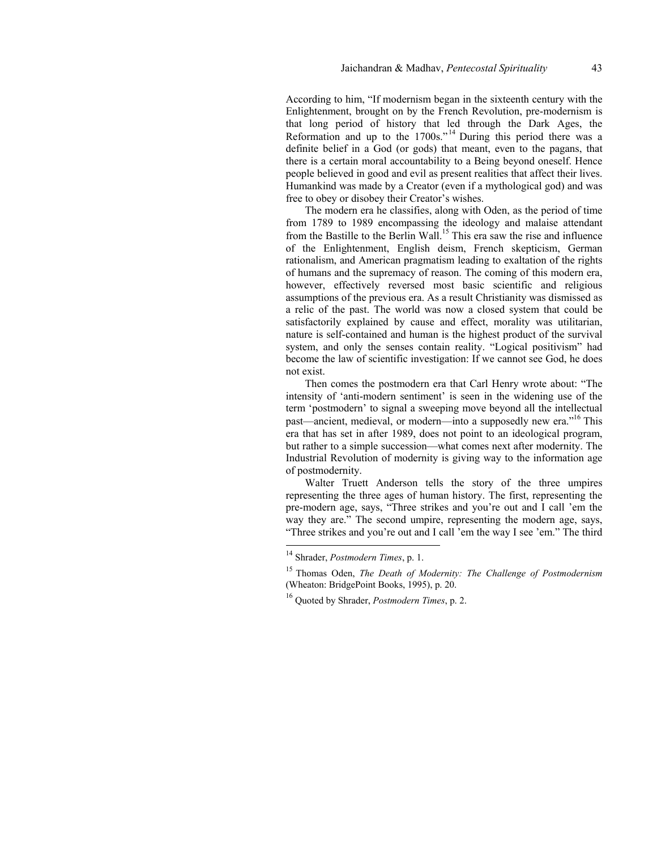According to him, "If modernism began in the sixteenth century with the Enlightenment, brought on by the French Revolution, pre-modernism is that long period of history that led through the Dark Ages, the Reformation and up to the  $1700s$ .<sup> $14$ </sup> During this period there was a definite belief in a God (or gods) that meant, even to the pagans, that there is a certain moral accountability to a Being beyond oneself. Hence people believed in good and evil as present realities that affect their lives. Humankind was made by a Creator (even if a mythological god) and was free to obey or disobey their Creator's wishes.

The modern era he classifies, along with Oden, as the period of time from 1789 to 1989 encompassing the ideology and malaise attendant from the Bastille to the Berlin Wall.<sup>15</sup> This era saw the rise and influence of the Enlightenment, English deism, French skepticism, German rationalism, and American pragmatism leading to exaltation of the rights of humans and the supremacy of reason. The coming of this modern era, however, effectively reversed most basic scientific and religious assumptions of the previous era. As a result Christianity was dismissed as a relic of the past. The world was now a closed system that could be satisfactorily explained by cause and effect, morality was utilitarian, nature is self-contained and human is the highest product of the survival system, and only the senses contain reality. "Logical positivism" had become the law of scientific investigation: If we cannot see God, he does not exist.

Then comes the postmodern era that Carl Henry wrote about: "The intensity of 'anti-modern sentiment' is seen in the widening use of the term 'postmodern' to signal a sweeping move beyond all the intellectual past—ancient, medieval, or modern—into a supposedly new era."16 This era that has set in after 1989, does not point to an ideological program, but rather to a simple succession—what comes next after modernity. The Industrial Revolution of modernity is giving way to the information age of postmodernity.

Walter Truett Anderson tells the story of the three umpires representing the three ages of human history. The first, representing the pre-modern age, says, "Three strikes and you're out and I call 'em the way they are." The second umpire, representing the modern age, says, "Three strikes and you're out and I call 'em the way I see 'em." The third

<sup>14</sup> Shrader, *Postmodern Times*, p. 1.

<sup>15</sup> Thomas Oden, *The Death of Modernity: The Challenge of Postmodernism*  (Wheaton: BridgePoint Books, 1995), p. 20.

<sup>16</sup> Quoted by Shrader, *Postmodern Times*, p. 2.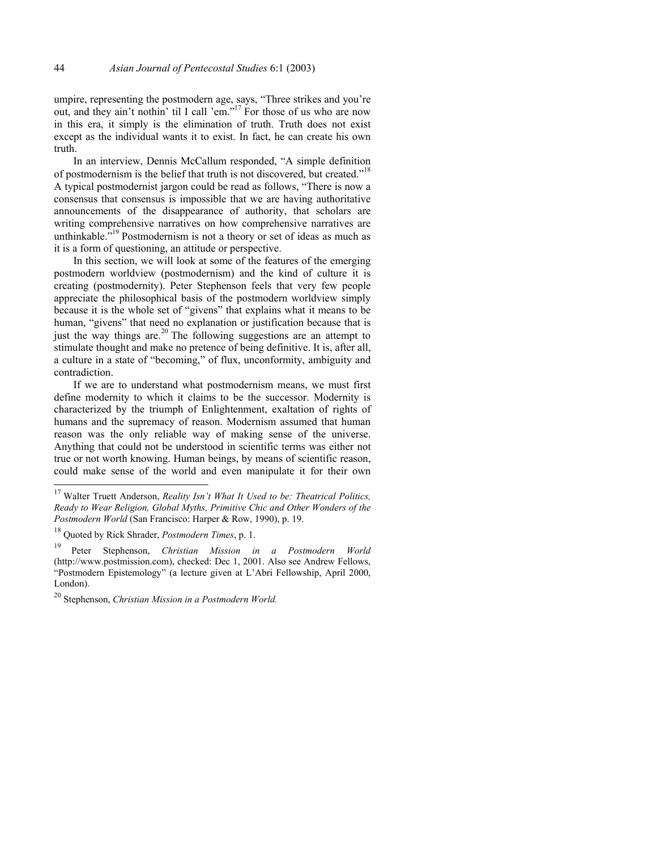umpire, representing the postmodern age, says, "Three strikes and you're out, and they ain't nothin' til I call 'em."17 For those of us who are now in this era, it simply is the elimination of truth. Truth does not exist except as the individual wants it to exist. In fact, he can create his own truth.

In an interview, Dennis McCallum responded, "A simple definition of postmodernism is the belief that truth is not discovered, but created."<sup>18</sup> A typical postmodernist jargon could be read as follows, "There is now a consensus that consensus is impossible that we are having authoritative announcements of the disappearance of authority, that scholars are writing comprehensive narratives on how comprehensive narratives are unthinkable.<sup>519</sup> Postmodernism is not a theory or set of ideas as much as it is a form of questioning, an attitude or perspective.

In this section, we will look at some of the features of the emerging postmodern worldview (postmodernism) and the kind of culture it is creating (postmodernity). Peter Stephenson feels that very few people appreciate the philosophical basis of the postmodern worldview simply because it is the whole set of "givens" that explains what it means to be human, "givens" that need no explanation or justification because that is just the way things are.<sup>20</sup> The following suggestions are an attempt to stimulate thought and make no pretence of being definitive. It is, after all, a culture in a state of "becoming," of flux, unconformity, ambiguity and contradiction.

If we are to understand what postmodernism means, we must first define modernity to which it claims to be the successor. Modernity is characterized by the triumph of Enlightenment, exaltation of rights of humans and the supremacy of reason. Modernism assumed that human reason was the only reliable way of making sense of the universe. Anything that could not be understood in scientific terms was either not true or not worth knowing. Human beings, by means of scientific reason, could make sense of the world and even manipulate it for their own

<sup>17</sup> Walter Truett Anderson, *Reality Isn't What It Used to be: Theatrical Politics, Ready to Wear Religion, Global Myths, Primitive Chic and Other Wonders of the Postmodern World* (San Francisco: Harper & Row, 1990), p. 19.

<sup>18</sup> Quoted by Rick Shrader, *Postmodern Times*, p. 1.

<sup>19</sup> Peter Stephenson, *Christian Mission in a Postmodern World*  (http://www.postmission.com), checked: Dec 1, 2001. Also see Andrew Fellows, "Postmodern Epistemology" (a lecture given at L'Abri Fellowship, April 2000, London).

<sup>20</sup> Stephenson, *Christian Mission in a Postmodern World.*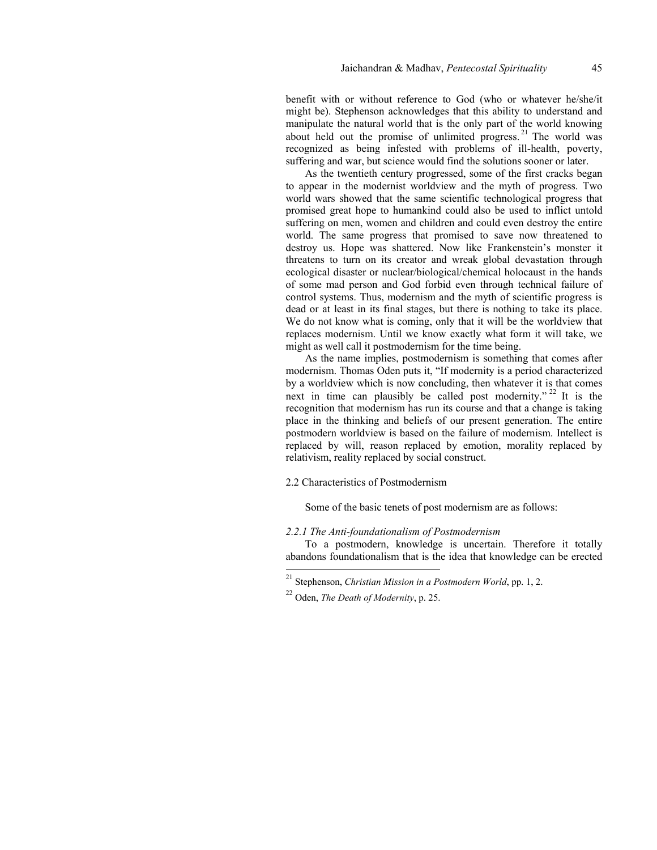benefit with or without reference to God (who or whatever he/she/it might be). Stephenson acknowledges that this ability to understand and manipulate the natural world that is the only part of the world knowing about held out the promise of unlimited progress.  $21$  The world was recognized as being infested with problems of ill-health, poverty, suffering and war, but science would find the solutions sooner or later.

As the twentieth century progressed, some of the first cracks began to appear in the modernist worldview and the myth of progress. Two world wars showed that the same scientific technological progress that promised great hope to humankind could also be used to inflict untold suffering on men, women and children and could even destroy the entire world. The same progress that promised to save now threatened to destroy us. Hope was shattered. Now like Frankenstein's monster it threatens to turn on its creator and wreak global devastation through ecological disaster or nuclear/biological/chemical holocaust in the hands of some mad person and God forbid even through technical failure of control systems. Thus, modernism and the myth of scientific progress is dead or at least in its final stages, but there is nothing to take its place. We do not know what is coming, only that it will be the worldview that replaces modernism. Until we know exactly what form it will take, we might as well call it postmodernism for the time being.

As the name implies, postmodernism is something that comes after modernism. Thomas Oden puts it, "If modernity is a period characterized by a worldview which is now concluding, then whatever it is that comes next in time can plausibly be called post modernity."<sup>22</sup> It is the recognition that modernism has run its course and that a change is taking place in the thinking and beliefs of our present generation. The entire postmodern worldview is based on the failure of modernism. Intellect is replaced by will, reason replaced by emotion, morality replaced by relativism, reality replaced by social construct.

# 2.2 Characteristics of Postmodernism

Some of the basic tenets of post modernism are as follows:

### *2.2.1 The Anti-foundationalism of Postmodernism*

To a postmodern, knowledge is uncertain. Therefore it totally abandons foundationalism that is the idea that knowledge can be erected

<sup>21</sup> Stephenson, *Christian Mission in a Postmodern World*, pp. 1, 2.

<sup>22</sup> Oden, *The Death of Modernity*, p. 25.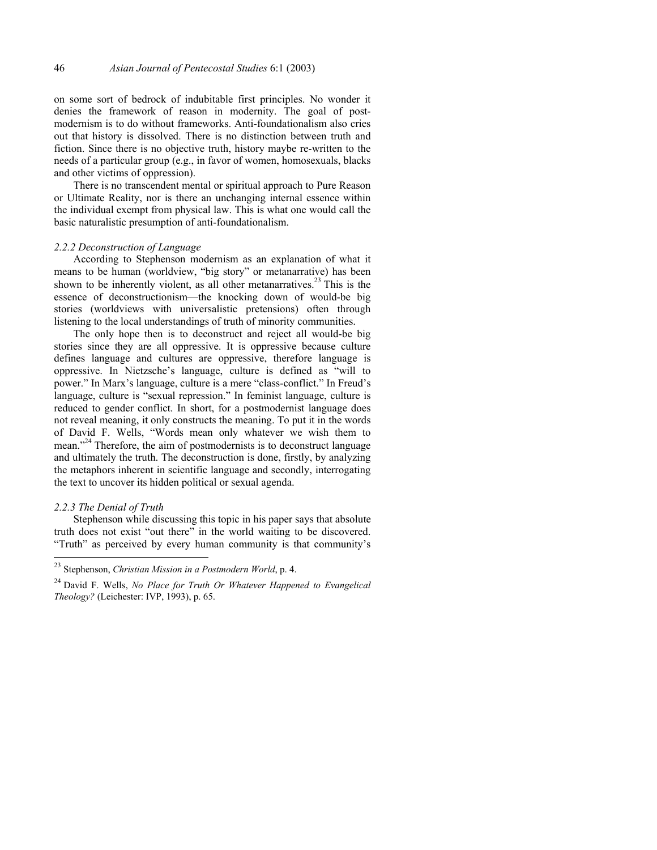on some sort of bedrock of indubitable first principles. No wonder it denies the framework of reason in modernity. The goal of postmodernism is to do without frameworks. Anti-foundationalism also cries out that history is dissolved. There is no distinction between truth and fiction. Since there is no objective truth, history maybe re-written to the needs of a particular group (e.g., in favor of women, homosexuals, blacks and other victims of oppression).

There is no transcendent mental or spiritual approach to Pure Reason or Ultimate Reality, nor is there an unchanging internal essence within the individual exempt from physical law. This is what one would call the basic naturalistic presumption of anti-foundationalism.

# *2.2.2 Deconstruction of Language*

According to Stephenson modernism as an explanation of what it means to be human (worldview, "big story" or metanarrative) has been shown to be inherently violent, as all other metanarratives.<sup>23</sup> This is the essence of deconstructionism—the knocking down of would-be big stories (worldviews with universalistic pretensions) often through listening to the local understandings of truth of minority communities.

The only hope then is to deconstruct and reject all would-be big stories since they are all oppressive. It is oppressive because culture defines language and cultures are oppressive, therefore language is oppressive. In Nietzsche's language, culture is defined as "will to power." In Marx's language, culture is a mere "class-conflict." In Freud's language, culture is "sexual repression." In feminist language, culture is reduced to gender conflict. In short, for a postmodernist language does not reveal meaning, it only constructs the meaning. To put it in the words of David F. Wells, "Words mean only whatever we wish them to mean."24 Therefore, the aim of postmodernists is to deconstruct language and ultimately the truth. The deconstruction is done, firstly, by analyzing the metaphors inherent in scientific language and secondly, interrogating the text to uncover its hidden political or sexual agenda.

#### *2.2.3 The Denial of Truth*

l

Stephenson while discussing this topic in his paper says that absolute truth does not exist "out there" in the world waiting to be discovered. "Truth" as perceived by every human community is that community's

<sup>23</sup> Stephenson, *Christian Mission in a Postmodern World*, p. 4.

<sup>24</sup> David F. Wells, *No Place for Truth Or Whatever Happened to Evangelical Theology?* (Leichester: IVP, 1993), p. 65.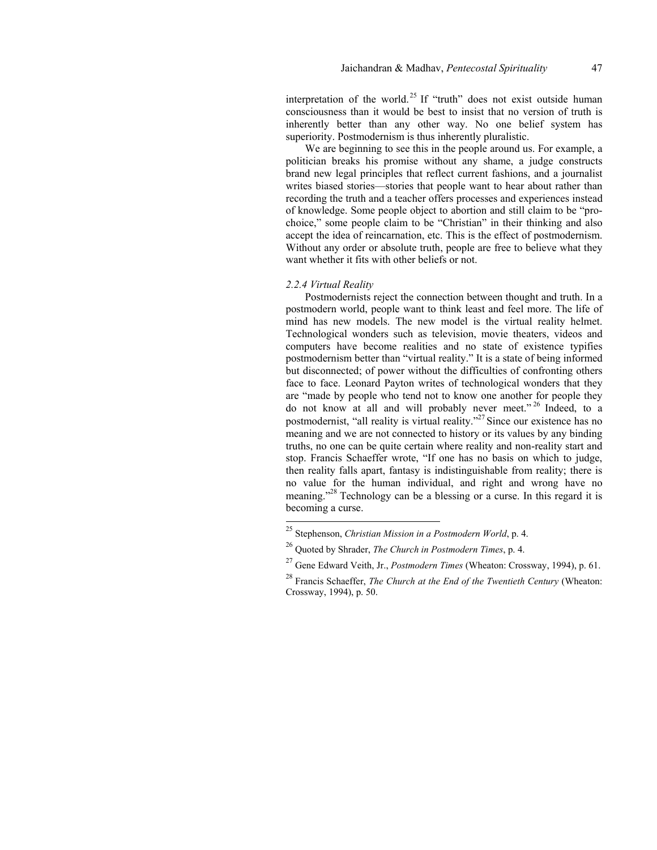interpretation of the world.<sup>25</sup> If "truth" does not exist outside human consciousness than it would be best to insist that no version of truth is inherently better than any other way. No one belief system has superiority. Postmodernism is thus inherently pluralistic.

We are beginning to see this in the people around us. For example, a politician breaks his promise without any shame, a judge constructs brand new legal principles that reflect current fashions, and a journalist writes biased stories—stories that people want to hear about rather than recording the truth and a teacher offers processes and experiences instead of knowledge. Some people object to abortion and still claim to be "prochoice," some people claim to be "Christian" in their thinking and also accept the idea of reincarnation, etc. This is the effect of postmodernism. Without any order or absolute truth, people are free to believe what they want whether it fits with other beliefs or not.

# *2.2.4 Virtual Reality*

l

Postmodernists reject the connection between thought and truth. In a postmodern world, people want to think least and feel more. The life of mind has new models. The new model is the virtual reality helmet. Technological wonders such as television, movie theaters, videos and computers have become realities and no state of existence typifies postmodernism better than "virtual reality." It is a state of being informed but disconnected; of power without the difficulties of confronting others face to face. Leonard Payton writes of technological wonders that they are "made by people who tend not to know one another for people they do not know at all and will probably never meet."<sup>26</sup> Indeed, to a postmodernist, "all reality is virtual reality."<sup>27</sup> Since our existence has no meaning and we are not connected to history or its values by any binding truths, no one can be quite certain where reality and non-reality start and stop. Francis Schaeffer wrote, "If one has no basis on which to judge, then reality falls apart, fantasy is indistinguishable from reality; there is no value for the human individual, and right and wrong have no meaning."<sup>28</sup> Technology can be a blessing or a curse. In this regard it is becoming a curse.

<sup>25</sup> Stephenson, *Christian Mission in a Postmodern World*, p. 4.

<sup>26</sup> Quoted by Shrader, *The Church in Postmodern Times*, p. 4.

<sup>27</sup> Gene Edward Veith, Jr., *Postmodern Times* (Wheaton: Crossway, 1994), p. 61.

<sup>28</sup> Francis Schaeffer, *The Church at the End of the Twentieth Century* (Wheaton: Crossway, 1994), p. 50.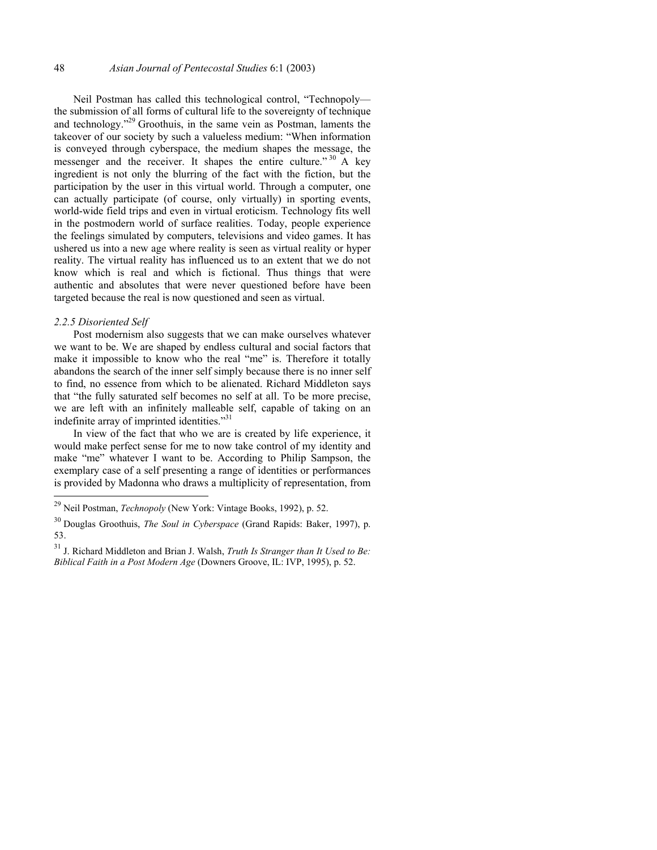Neil Postman has called this technological control, "Technopoly the submission of all forms of cultural life to the sovereignty of technique and technology."29 Groothuis, in the same vein as Postman, laments the takeover of our society by such a valueless medium: "When information is conveyed through cyberspace, the medium shapes the message, the messenger and the receiver. It shapes the entire culture."  $30$  A key ingredient is not only the blurring of the fact with the fiction, but the participation by the user in this virtual world. Through a computer, one can actually participate (of course, only virtually) in sporting events, world-wide field trips and even in virtual eroticism. Technology fits well in the postmodern world of surface realities. Today, people experience the feelings simulated by computers, televisions and video games. It has ushered us into a new age where reality is seen as virtual reality or hyper reality. The virtual reality has influenced us to an extent that we do not know which is real and which is fictional. Thus things that were authentic and absolutes that were never questioned before have been targeted because the real is now questioned and seen as virtual.

### *2.2.5 Disoriented Self*

l

Post modernism also suggests that we can make ourselves whatever we want to be. We are shaped by endless cultural and social factors that make it impossible to know who the real "me" is. Therefore it totally abandons the search of the inner self simply because there is no inner self to find, no essence from which to be alienated. Richard Middleton says that "the fully saturated self becomes no self at all. To be more precise, we are left with an infinitely malleable self, capable of taking on an indefinite array of imprinted identities."31

In view of the fact that who we are is created by life experience, it would make perfect sense for me to now take control of my identity and make "me" whatever I want to be. According to Philip Sampson, the exemplary case of a self presenting a range of identities or performances is provided by Madonna who draws a multiplicity of representation, from

<sup>29</sup> Neil Postman, *Technopoly* (New York: Vintage Books, 1992), p. 52.

<sup>30</sup> Douglas Groothuis, *The Soul in Cyberspace* (Grand Rapids: Baker, 1997), p. 53.

<sup>31</sup> J. Richard Middleton and Brian J. Walsh, *Truth Is Stranger than It Used to Be: Biblical Faith in a Post Modern Age* (Downers Groove, IL: IVP, 1995), p. 52.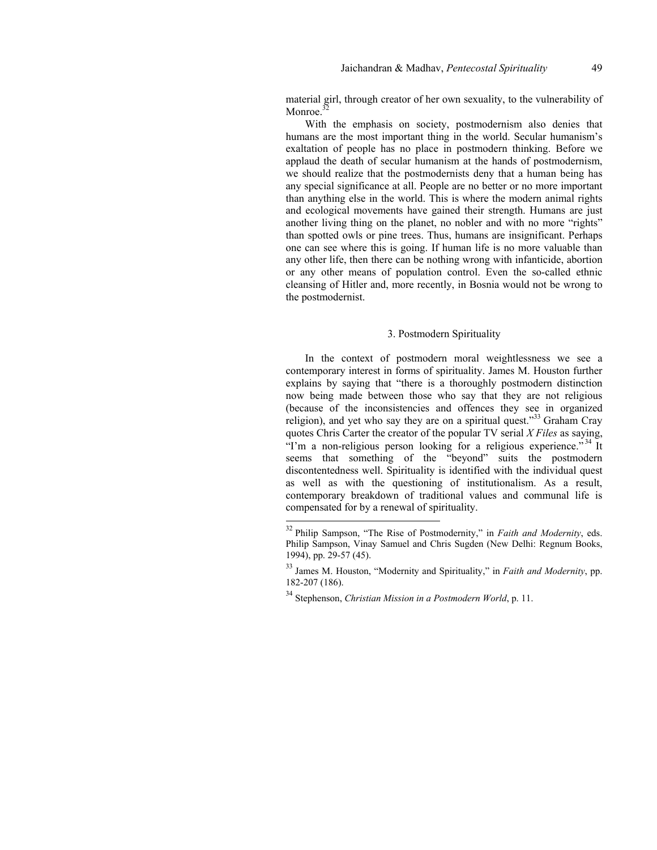material girl, through creator of her own sexuality, to the vulnerability of Monroe.<sup>32</sup>

With the emphasis on society, postmodernism also denies that humans are the most important thing in the world. Secular humanism's exaltation of people has no place in postmodern thinking. Before we applaud the death of secular humanism at the hands of postmodernism, we should realize that the postmodernists deny that a human being has any special significance at all. People are no better or no more important than anything else in the world. This is where the modern animal rights and ecological movements have gained their strength. Humans are just another living thing on the planet, no nobler and with no more "rights" than spotted owls or pine trees. Thus, humans are insignificant. Perhaps one can see where this is going. If human life is no more valuable than any other life, then there can be nothing wrong with infanticide, abortion or any other means of population control. Even the so-called ethnic cleansing of Hitler and, more recently, in Bosnia would not be wrong to the postmodernist.

### 3. Postmodern Spirituality

In the context of postmodern moral weightlessness we see a contemporary interest in forms of spirituality. James M. Houston further explains by saying that "there is a thoroughly postmodern distinction now being made between those who say that they are not religious (because of the inconsistencies and offences they see in organized religion), and yet who say they are on a spiritual quest."33 Graham Cray quotes Chris Carter the creator of the popular TV serial *X Files* as saying, "I'm a non-religious person looking for a religious experience."<sup>34</sup> It seems that something of the "beyond" suits the postmodern discontentedness well. Spirituality is identified with the individual quest as well as with the questioning of institutionalism. As a result, contemporary breakdown of traditional values and communal life is compensated for by a renewal of spirituality.

<sup>32</sup> Philip Sampson, "The Rise of Postmodernity," in *Faith and Modernity*, eds. Philip Sampson, Vinay Samuel and Chris Sugden (New Delhi: Regnum Books, 1994), pp. 29-57 (45).

<sup>33</sup> James M. Houston, "Modernity and Spirituality," in *Faith and Modernity*, pp. 182-207 (186).

<sup>34</sup> Stephenson, *Christian Mission in a Postmodern World*, p. 11.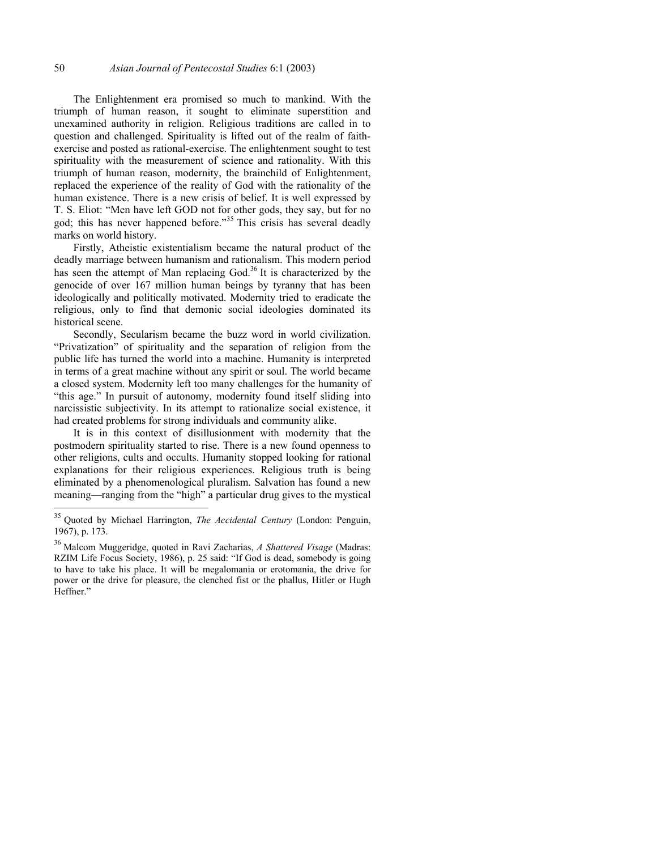The Enlightenment era promised so much to mankind. With the triumph of human reason, it sought to eliminate superstition and unexamined authority in religion. Religious traditions are called in to question and challenged. Spirituality is lifted out of the realm of faithexercise and posted as rational-exercise. The enlightenment sought to test spirituality with the measurement of science and rationality. With this triumph of human reason, modernity, the brainchild of Enlightenment, replaced the experience of the reality of God with the rationality of the human existence. There is a new crisis of belief. It is well expressed by T. S. Eliot: "Men have left GOD not for other gods, they say, but for no god; this has never happened before."35 This crisis has several deadly marks on world history.

Firstly, Atheistic existentialism became the natural product of the deadly marriage between humanism and rationalism. This modern period has seen the attempt of Man replacing God.<sup>36</sup> It is characterized by the genocide of over 167 million human beings by tyranny that has been ideologically and politically motivated. Modernity tried to eradicate the religious, only to find that demonic social ideologies dominated its historical scene.

Secondly, Secularism became the buzz word in world civilization. "Privatization" of spirituality and the separation of religion from the public life has turned the world into a machine. Humanity is interpreted in terms of a great machine without any spirit or soul. The world became a closed system. Modernity left too many challenges for the humanity of "this age." In pursuit of autonomy, modernity found itself sliding into narcissistic subjectivity. In its attempt to rationalize social existence, it had created problems for strong individuals and community alike.

It is in this context of disillusionment with modernity that the postmodern spirituality started to rise. There is a new found openness to other religions, cults and occults. Humanity stopped looking for rational explanations for their religious experiences. Religious truth is being eliminated by a phenomenological pluralism. Salvation has found a new meaning—ranging from the "high" a particular drug gives to the mystical

<sup>35</sup> Quoted by Michael Harrington, *The Accidental Century* (London: Penguin, 1967), p. 173.

<sup>36</sup> Malcom Muggeridge, quoted in Ravi Zacharias, *A Shattered Visage* (Madras: RZIM Life Focus Society, 1986), p. 25 said: "If God is dead, somebody is going to have to take his place. It will be megalomania or erotomania, the drive for power or the drive for pleasure, the clenched fist or the phallus, Hitler or Hugh Heffner."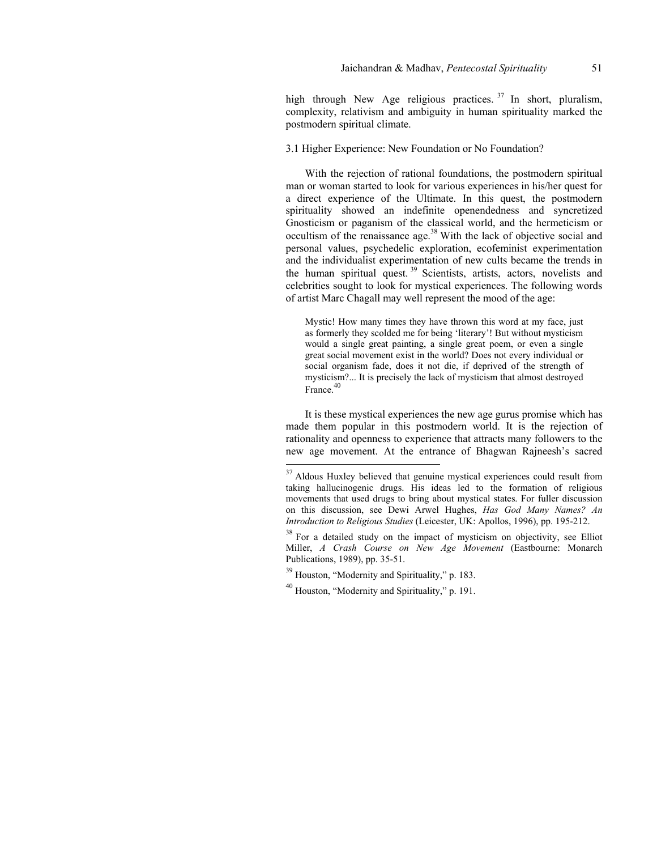high through New Age religious practices.  $37 \text{ In short, pluralism,}$ complexity, relativism and ambiguity in human spirituality marked the postmodern spiritual climate.

# 3.1 Higher Experience: New Foundation or No Foundation?

With the rejection of rational foundations, the postmodern spiritual man or woman started to look for various experiences in his/her quest for a direct experience of the Ultimate. In this quest, the postmodern spirituality showed an indefinite openendedness and syncretized Gnosticism or paganism of the classical world, and the hermeticism or occultism of the renaissance age.<sup>38</sup> With the lack of objective social and personal values, psychedelic exploration, ecofeminist experimentation and the individualist experimentation of new cults became the trends in the human spiritual quest.<sup>39</sup> Scientists, artists, actors, novelists and celebrities sought to look for mystical experiences. The following words of artist Marc Chagall may well represent the mood of the age:

Mystic! How many times they have thrown this word at my face, just as formerly they scolded me for being 'literary'! But without mysticism would a single great painting, a single great poem, or even a single great social movement exist in the world? Does not every individual or social organism fade, does it not die, if deprived of the strength of mysticism?... It is precisely the lack of mysticism that almost destroyed France.<sup>40</sup>

It is these mystical experiences the new age gurus promise which has made them popular in this postmodern world. It is the rejection of rationality and openness to experience that attracts many followers to the new age movement. At the entrance of Bhagwan Rajneesh's sacred

 $39$  Houston, "Modernity and Spirituality," p. 183.

l

<sup>40</sup> Houston, "Modernity and Spirituality," p. 191.

 $37$  Aldous Huxley believed that genuine mystical experiences could result from taking hallucinogenic drugs. His ideas led to the formation of religious movements that used drugs to bring about mystical states. For fuller discussion on this discussion, see Dewi Arwel Hughes, *Has God Many Names? An Introduction to Religious Studies* (Leicester, UK: Apollos, 1996), pp. 195-212.

<sup>&</sup>lt;sup>38</sup> For a detailed study on the impact of mysticism on objectivity, see Elliot Miller, *A Crash Course on New Age Movement* (Eastbourne: Monarch Publications, 1989), pp. 35-51.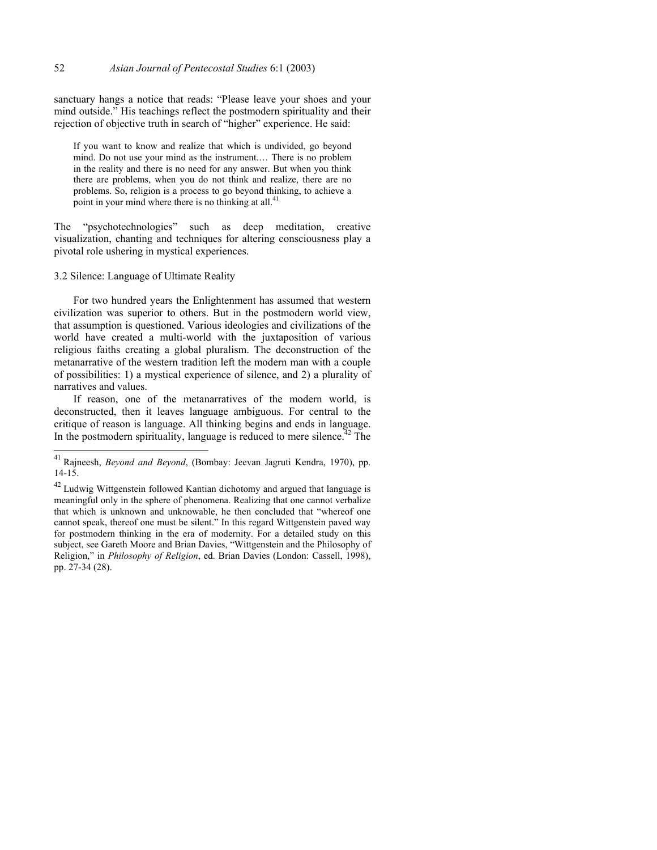sanctuary hangs a notice that reads: "Please leave your shoes and your mind outside." His teachings reflect the postmodern spirituality and their rejection of objective truth in search of "higher" experience. He said:

If you want to know and realize that which is undivided, go beyond mind. Do not use your mind as the instrument.… There is no problem in the reality and there is no need for any answer. But when you think there are problems, when you do not think and realize, there are no problems. So, religion is a process to go beyond thinking, to achieve a point in your mind where there is no thinking at all. $^{41}$ 

The "psychotechnologies" such as deep meditation, creative visualization, chanting and techniques for altering consciousness play a pivotal role ushering in mystical experiences.

### 3.2 Silence: Language of Ultimate Reality

l

For two hundred years the Enlightenment has assumed that western civilization was superior to others. But in the postmodern world view, that assumption is questioned. Various ideologies and civilizations of the world have created a multi-world with the juxtaposition of various religious faiths creating a global pluralism. The deconstruction of the metanarrative of the western tradition left the modern man with a couple of possibilities: 1) a mystical experience of silence, and 2) a plurality of narratives and values.

If reason, one of the metanarratives of the modern world, is deconstructed, then it leaves language ambiguous. For central to the critique of reason is language. All thinking begins and ends in language. In the postmodern spirituality, language is reduced to mere silence.<sup> $42$ </sup> The

<sup>41</sup> Rajneesh, *Beyond and Beyond*, (Bombay: Jeevan Jagruti Kendra, 1970), pp. 14-15.

 $42$  Ludwig Wittgenstein followed Kantian dichotomy and argued that language is meaningful only in the sphere of phenomena. Realizing that one cannot verbalize that which is unknown and unknowable, he then concluded that "whereof one cannot speak, thereof one must be silent." In this regard Wittgenstein paved way for postmodern thinking in the era of modernity. For a detailed study on this subject, see Gareth Moore and Brian Davies, "Wittgenstein and the Philosophy of Religion," in *Philosophy of Religion*, ed. Brian Davies (London: Cassell, 1998), pp. 27-34 (28).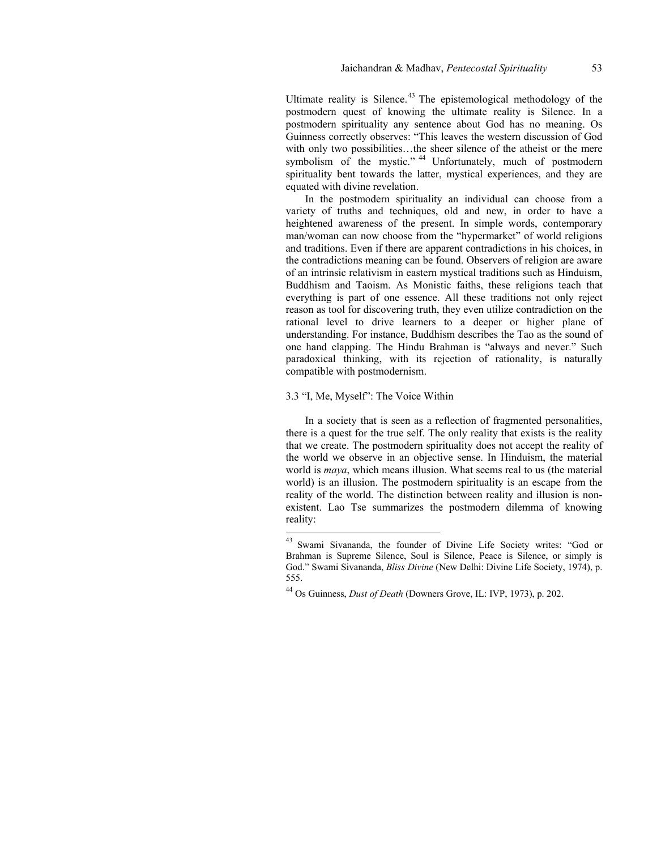Ultimate reality is Silence.<sup>43</sup> The epistemological methodology of the postmodern quest of knowing the ultimate reality is Silence. In a postmodern spirituality any sentence about God has no meaning. Os Guinness correctly observes: "This leaves the western discussion of God with only two possibilities…the sheer silence of the atheist or the mere symbolism of the mystic."<sup>44</sup> Unfortunately, much of postmodern spirituality bent towards the latter, mystical experiences, and they are equated with divine revelation.

In the postmodern spirituality an individual can choose from a variety of truths and techniques, old and new, in order to have a heightened awareness of the present. In simple words, contemporary man/woman can now choose from the "hypermarket" of world religions and traditions. Even if there are apparent contradictions in his choices, in the contradictions meaning can be found. Observers of religion are aware of an intrinsic relativism in eastern mystical traditions such as Hinduism, Buddhism and Taoism. As Monistic faiths, these religions teach that everything is part of one essence. All these traditions not only reject reason as tool for discovering truth, they even utilize contradiction on the rational level to drive learners to a deeper or higher plane of understanding. For instance, Buddhism describes the Tao as the sound of one hand clapping. The Hindu Brahman is "always and never." Such paradoxical thinking, with its rejection of rationality, is naturally compatible with postmodernism.

# 3.3 "I, Me, Myself": The Voice Within

l

In a society that is seen as a reflection of fragmented personalities, there is a quest for the true self. The only reality that exists is the reality that we create. The postmodern spirituality does not accept the reality of the world we observe in an objective sense. In Hinduism, the material world is *maya*, which means illusion. What seems real to us (the material world) is an illusion. The postmodern spirituality is an escape from the reality of the world. The distinction between reality and illusion is nonexistent. Lao Tse summarizes the postmodern dilemma of knowing reality:

<sup>&</sup>lt;sup>43</sup> Swami Sivananda, the founder of Divine Life Society writes: "God or Brahman is Supreme Silence, Soul is Silence, Peace is Silence, or simply is God." Swami Sivananda, *Bliss Divine* (New Delhi: Divine Life Society, 1974), p. 555.

<sup>44</sup> Os Guinness, *Dust of Death* (Downers Grove, IL: IVP, 1973), p. 202.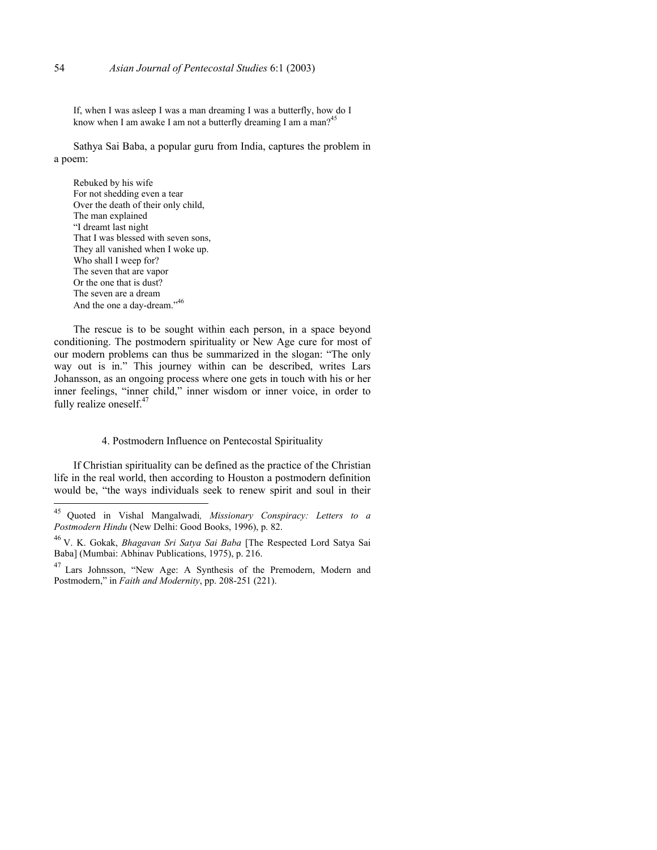If, when I was asleep I was a man dreaming I was a butterfly, how do I know when I am awake I am not a butterfly dreaming I am a man?<sup>45</sup>

Sathya Sai Baba, a popular guru from India, captures the problem in a poem:

Rebuked by his wife For not shedding even a tear Over the death of their only child, The man explained "I dreamt last night That I was blessed with seven sons, They all vanished when I woke up. Who shall I weep for? The seven that are vapor Or the one that is dust? The seven are a dream And the one a day-dream."<sup>46</sup>

The rescue is to be sought within each person, in a space beyond conditioning. The postmodern spirituality or New Age cure for most of our modern problems can thus be summarized in the slogan: "The only way out is in." This journey within can be described, writes Lars Johansson, as an ongoing process where one gets in touch with his or her inner feelings, "inner child," inner wisdom or inner voice, in order to fully realize oneself.<sup>47</sup>

## 4. Postmodern Influence on Pentecostal Spirituality

If Christian spirituality can be defined as the practice of the Christian life in the real world, then according to Houston a postmodern definition would be, "the ways individuals seek to renew spirit and soul in their

 $45\,$ 45 Quoted in Vishal Mangalwadi*, Missionary Conspiracy: Letters to a Postmodern Hindu* (New Delhi: Good Books, 1996), p. 82.

<sup>46</sup> V. K. Gokak, *Bhagavan Sri Satya Sai Baba* [The Respected Lord Satya Sai Baba] (Mumbai: Abhinav Publications, 1975), p. 216.

<sup>47</sup> Lars Johnsson, "New Age: A Synthesis of the Premodern, Modern and Postmodern," in *Faith and Modernity*, pp. 208-251 (221).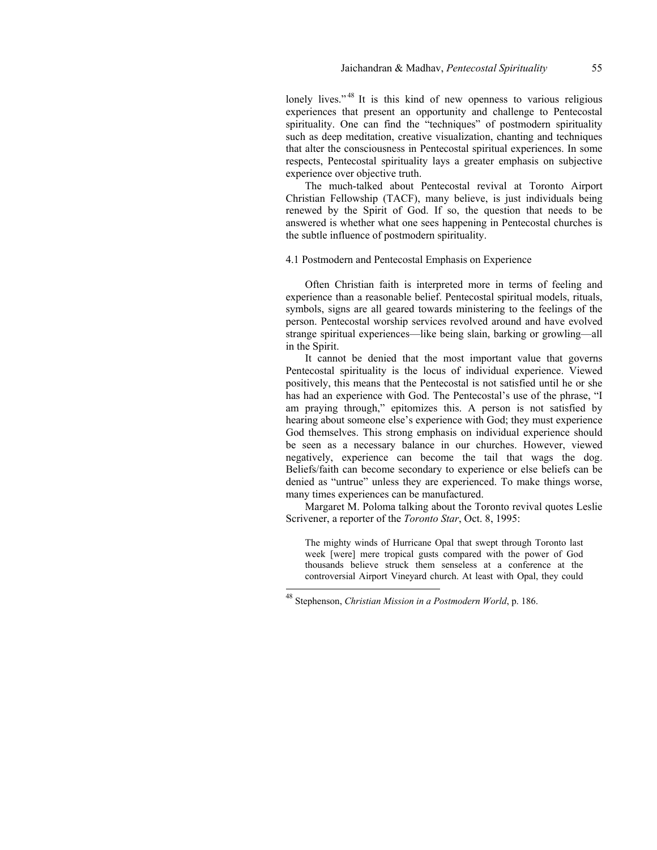lonely lives."<sup>48</sup> It is this kind of new openness to various religious experiences that present an opportunity and challenge to Pentecostal spirituality. One can find the "techniques" of postmodern spirituality such as deep meditation, creative visualization, chanting and techniques that alter the consciousness in Pentecostal spiritual experiences. In some respects, Pentecostal spirituality lays a greater emphasis on subjective experience over objective truth.

The much-talked about Pentecostal revival at Toronto Airport Christian Fellowship (TACF), many believe, is just individuals being renewed by the Spirit of God. If so, the question that needs to be answered is whether what one sees happening in Pentecostal churches is the subtle influence of postmodern spirituality.

4.1 Postmodern and Pentecostal Emphasis on Experience

Often Christian faith is interpreted more in terms of feeling and experience than a reasonable belief. Pentecostal spiritual models, rituals, symbols, signs are all geared towards ministering to the feelings of the person. Pentecostal worship services revolved around and have evolved strange spiritual experiences—like being slain, barking or growling—all in the Spirit.

It cannot be denied that the most important value that governs Pentecostal spirituality is the locus of individual experience. Viewed positively, this means that the Pentecostal is not satisfied until he or she has had an experience with God. The Pentecostal's use of the phrase, "I am praying through," epitomizes this. A person is not satisfied by hearing about someone else's experience with God; they must experience God themselves. This strong emphasis on individual experience should be seen as a necessary balance in our churches. However, viewed negatively, experience can become the tail that wags the dog. Beliefs/faith can become secondary to experience or else beliefs can be denied as "untrue" unless they are experienced. To make things worse, many times experiences can be manufactured.

Margaret M. Poloma talking about the Toronto revival quotes Leslie Scrivener, a reporter of the *Toronto Star*, Oct. 8, 1995:

The mighty winds of Hurricane Opal that swept through Toronto last week [were] mere tropical gusts compared with the power of God thousands believe struck them senseless at a conference at the controversial Airport Vineyard church. At least with Opal, they could

<sup>48</sup> Stephenson, *Christian Mission in a Postmodern World*, p. 186.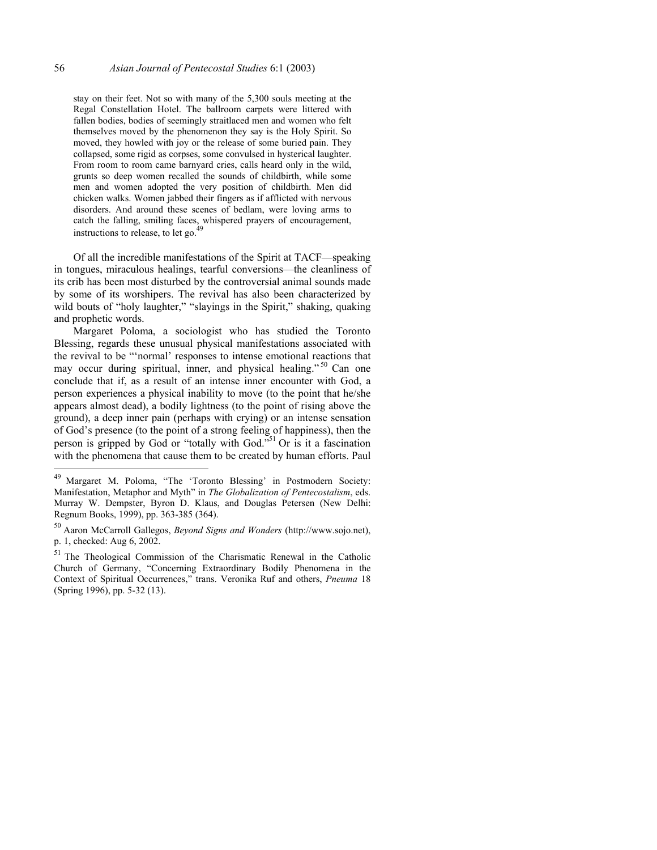stay on their feet. Not so with many of the 5,300 souls meeting at the Regal Constellation Hotel. The ballroom carpets were littered with fallen bodies, bodies of seemingly straitlaced men and women who felt themselves moved by the phenomenon they say is the Holy Spirit. So moved, they howled with joy or the release of some buried pain. They collapsed, some rigid as corpses, some convulsed in hysterical laughter. From room to room came barnyard cries, calls heard only in the wild, grunts so deep women recalled the sounds of childbirth, while some men and women adopted the very position of childbirth. Men did chicken walks. Women jabbed their fingers as if afflicted with nervous disorders. And around these scenes of bedlam, were loving arms to catch the falling, smiling faces, whispered prayers of encouragement, instructions to release, to let go. $49$ 

Of all the incredible manifestations of the Spirit at TACF—speaking in tongues, miraculous healings, tearful conversions—the cleanliness of its crib has been most disturbed by the controversial animal sounds made by some of its worshipers. The revival has also been characterized by wild bouts of "holy laughter," "slayings in the Spirit," shaking, quaking and prophetic words.

Margaret Poloma, a sociologist who has studied the Toronto Blessing, regards these unusual physical manifestations associated with the revival to be "'normal' responses to intense emotional reactions that may occur during spiritual, inner, and physical healing."<sup>50</sup> Can one conclude that if, as a result of an intense inner encounter with God, a person experiences a physical inability to move (to the point that he/she appears almost dead), a bodily lightness (to the point of rising above the ground), a deep inner pain (perhaps with crying) or an intense sensation of God's presence (to the point of a strong feeling of happiness), then the person is gripped by God or "totally with God."<sup>51</sup> Or is it a fascination with the phenomena that cause them to be created by human efforts. Paul

<sup>49</sup> Margaret M. Poloma, "The 'Toronto Blessing' in Postmodern Society: Manifestation, Metaphor and Myth" in *The Globalization of Pentecostalism*, eds. Murray W. Dempster, Byron D. Klaus, and Douglas Petersen (New Delhi: Regnum Books, 1999), pp. 363-385 (364).

<sup>50</sup> Aaron McCarroll Gallegos, *Beyond Signs and Wonders* (http://www.sojo.net), p. 1, checked: Aug 6, 2002.

<sup>51</sup> The Theological Commission of the Charismatic Renewal in the Catholic Church of Germany, "Concerning Extraordinary Bodily Phenomena in the Context of Spiritual Occurrences," trans. Veronika Ruf and others, *Pneuma* 18 (Spring 1996), pp. 5-32 (13).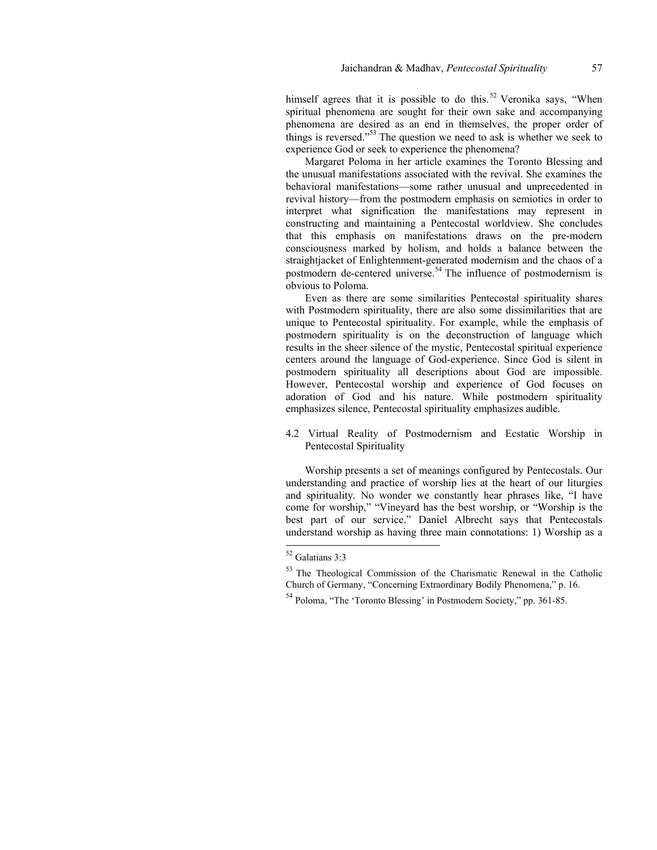himself agrees that it is possible to do this.<sup>52</sup> Veronika says, "When spiritual phenomena are sought for their own sake and accompanying phenomena are desired as an end in themselves, the proper order of things is reversed."<sup>53</sup> The question we need to ask is whether we seek to experience God or seek to experience the phenomena?

Margaret Poloma in her article examines the Toronto Blessing and the unusual manifestations associated with the revival. She examines the behavioral manifestations—some rather unusual and unprecedented in revival history—from the postmodern emphasis on semiotics in order to interpret what signification the manifestations may represent in constructing and maintaining a Pentecostal worldview. She concludes that this emphasis on manifestations draws on the pre-modern consciousness marked by holism, and holds a balance between the straightjacket of Enlightenment-generated modernism and the chaos of a postmodern de-centered universe.<sup>54</sup> The influence of postmodernism is obvious to Poloma.

Even as there are some similarities Pentecostal spirituality shares with Postmodern spirituality, there are also some dissimilarities that are unique to Pentecostal spirituality. For example, while the emphasis of postmodern spirituality is on the deconstruction of language which results in the sheer silence of the mystic, Pentecostal spiritual experience centers around the language of God-experience. Since God is silent in postmodern spirituality all descriptions about God are impossible. However, Pentecostal worship and experience of God focuses on adoration of God and his nature. While postmodern spirituality emphasizes silence, Pentecostal spirituality emphasizes audible.

4.2 Virtual Reality of Postmodernism and Ecstatic Worship in Pentecostal Spirituality

Worship presents a set of meanings configured by Pentecostals. Our understanding and practice of worship lies at the heart of our liturgies and spirituality. No wonder we constantly hear phrases like, "I have come for worship," "Vineyard has the best worship, or "Worship is the best part of our service." Daniel Albrecht says that Pentecostals understand worship as having three main connotations: 1) Worship as a

<sup>52</sup> Galatians 3:3

<sup>53</sup> The Theological Commission of the Charismatic Renewal in the Catholic Church of Germany, "Concerning Extraordinary Bodily Phenomena," p. 16.

<sup>54</sup> Poloma, "The 'Toronto Blessing' in Postmodern Society," pp. 361-85.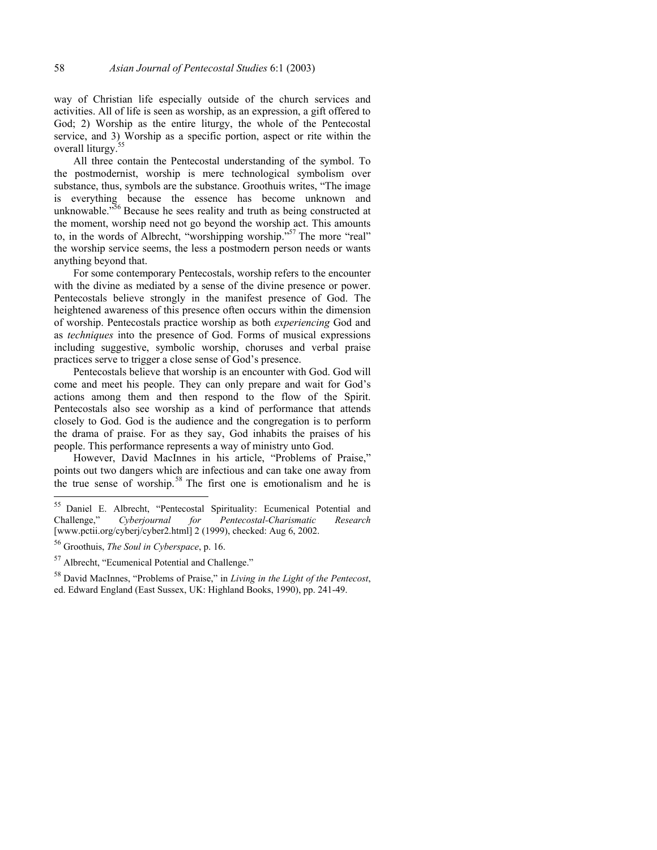way of Christian life especially outside of the church services and activities. All of life is seen as worship, as an expression, a gift offered to God; 2) Worship as the entire liturgy, the whole of the Pentecostal service, and 3) Worship as a specific portion, aspect or rite within the overall liturgy.55

All three contain the Pentecostal understanding of the symbol. To the postmodernist, worship is mere technological symbolism over substance, thus, symbols are the substance. Groothuis writes, "The image is everything because the essence has become unknown and unknowable."<sup>56</sup> Because he sees reality and truth as being constructed at the moment, worship need not go beyond the worship act. This amounts to, in the words of Albrecht, "worshipping worship."<sup>57</sup> The more "real" the worship service seems, the less a postmodern person needs or wants anything beyond that.

For some contemporary Pentecostals, worship refers to the encounter with the divine as mediated by a sense of the divine presence or power. Pentecostals believe strongly in the manifest presence of God. The heightened awareness of this presence often occurs within the dimension of worship. Pentecostals practice worship as both *experiencing* God and as *techniques* into the presence of God. Forms of musical expressions including suggestive, symbolic worship, choruses and verbal praise practices serve to trigger a close sense of God's presence.

Pentecostals believe that worship is an encounter with God. God will come and meet his people. They can only prepare and wait for God's actions among them and then respond to the flow of the Spirit. Pentecostals also see worship as a kind of performance that attends closely to God. God is the audience and the congregation is to perform the drama of praise. For as they say, God inhabits the praises of his people. This performance represents a way of ministry unto God.

However, David MacInnes in his article, "Problems of Praise," points out two dangers which are infectious and can take one away from the true sense of worship.<sup>58</sup> The first one is emotionalism and he is

<sup>&</sup>lt;sup>55</sup> Daniel E. Albrecht, "Pentecostal Spirituality: Ecumenical Potential and Challenge," *Cyberjournal for Pentecostal-Charismatic Research* [www.pctii.org/cyberj/cyber2.html] 2 (1999), checked: Aug 6, 2002.

<sup>56</sup> Groothuis, *The Soul in Cyberspace*, p. 16.

<sup>57</sup> Albrecht, "Ecumenical Potential and Challenge."

<sup>58</sup> David MacInnes, "Problems of Praise," in *Living in the Light of the Pentecost*, ed. Edward England (East Sussex, UK: Highland Books, 1990), pp. 241-49.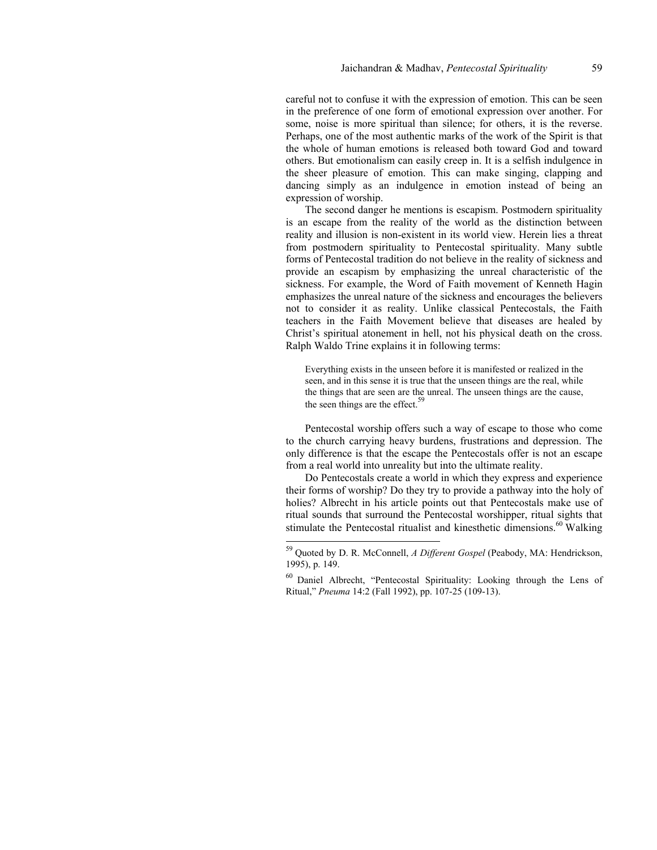careful not to confuse it with the expression of emotion. This can be seen in the preference of one form of emotional expression over another. For some, noise is more spiritual than silence; for others, it is the reverse. Perhaps, one of the most authentic marks of the work of the Spirit is that the whole of human emotions is released both toward God and toward others. But emotionalism can easily creep in. It is a selfish indulgence in the sheer pleasure of emotion. This can make singing, clapping and dancing simply as an indulgence in emotion instead of being an expression of worship.

The second danger he mentions is escapism. Postmodern spirituality is an escape from the reality of the world as the distinction between reality and illusion is non-existent in its world view. Herein lies a threat from postmodern spirituality to Pentecostal spirituality. Many subtle forms of Pentecostal tradition do not believe in the reality of sickness and provide an escapism by emphasizing the unreal characteristic of the sickness. For example, the Word of Faith movement of Kenneth Hagin emphasizes the unreal nature of the sickness and encourages the believers not to consider it as reality. Unlike classical Pentecostals, the Faith teachers in the Faith Movement believe that diseases are healed by Christ's spiritual atonement in hell, not his physical death on the cross. Ralph Waldo Trine explains it in following terms:

Everything exists in the unseen before it is manifested or realized in the seen, and in this sense it is true that the unseen things are the real, while the things that are seen are the unreal. The unseen things are the cause, the seen things are the effect.<sup>59</sup>

Pentecostal worship offers such a way of escape to those who come to the church carrying heavy burdens, frustrations and depression. The only difference is that the escape the Pentecostals offer is not an escape from a real world into unreality but into the ultimate reality.

Do Pentecostals create a world in which they express and experience their forms of worship? Do they try to provide a pathway into the holy of holies? Albrecht in his article points out that Pentecostals make use of ritual sounds that surround the Pentecostal worshipper, ritual sights that stimulate the Pentecostal ritualist and kinesthetic dimensions.<sup>60</sup> Walking

<sup>59</sup> Quoted by D. R. McConnell, *A Different Gospel* (Peabody, MA: Hendrickson, 1995), p. 149.

<sup>60</sup> Daniel Albrecht, "Pentecostal Spirituality: Looking through the Lens of Ritual," *Pneuma* 14:2 (Fall 1992), pp. 107-25 (109-13).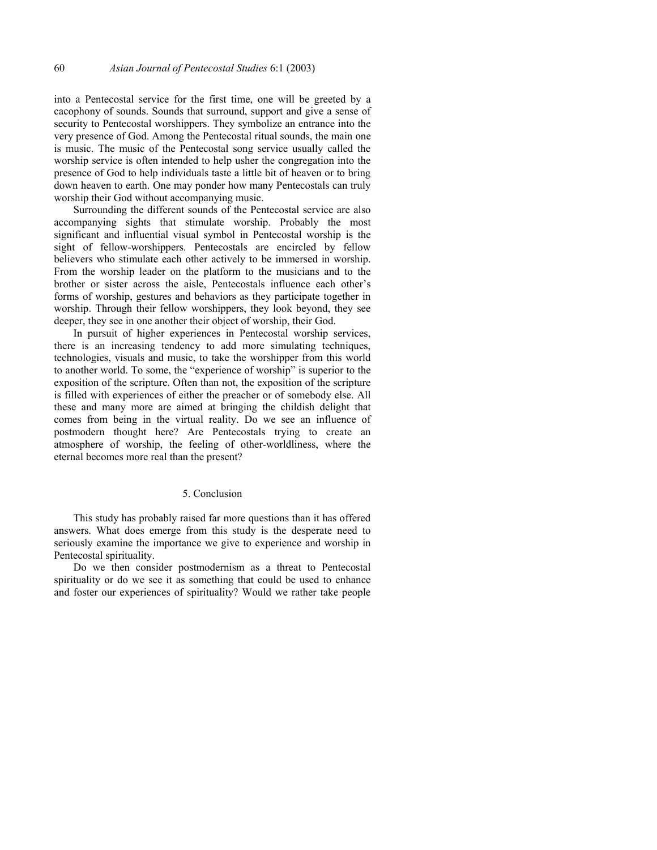into a Pentecostal service for the first time, one will be greeted by a cacophony of sounds. Sounds that surround, support and give a sense of security to Pentecostal worshippers. They symbolize an entrance into the very presence of God. Among the Pentecostal ritual sounds, the main one is music. The music of the Pentecostal song service usually called the worship service is often intended to help usher the congregation into the presence of God to help individuals taste a little bit of heaven or to bring down heaven to earth. One may ponder how many Pentecostals can truly worship their God without accompanying music.

Surrounding the different sounds of the Pentecostal service are also accompanying sights that stimulate worship. Probably the most significant and influential visual symbol in Pentecostal worship is the sight of fellow-worshippers. Pentecostals are encircled by fellow believers who stimulate each other actively to be immersed in worship. From the worship leader on the platform to the musicians and to the brother or sister across the aisle, Pentecostals influence each other's forms of worship, gestures and behaviors as they participate together in worship. Through their fellow worshippers, they look beyond, they see deeper, they see in one another their object of worship, their God.

In pursuit of higher experiences in Pentecostal worship services, there is an increasing tendency to add more simulating techniques, technologies, visuals and music, to take the worshipper from this world to another world. To some, the "experience of worship" is superior to the exposition of the scripture. Often than not, the exposition of the scripture is filled with experiences of either the preacher or of somebody else. All these and many more are aimed at bringing the childish delight that comes from being in the virtual reality. Do we see an influence of postmodern thought here? Are Pentecostals trying to create an atmosphere of worship, the feeling of other-worldliness, where the eternal becomes more real than the present?

### 5. Conclusion

This study has probably raised far more questions than it has offered answers. What does emerge from this study is the desperate need to seriously examine the importance we give to experience and worship in Pentecostal spirituality.

Do we then consider postmodernism as a threat to Pentecostal spirituality or do we see it as something that could be used to enhance and foster our experiences of spirituality? Would we rather take people